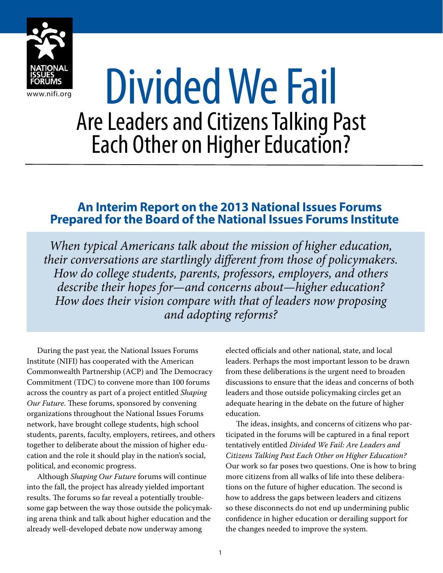

# BSUESSER Divided We Fail Are Leaders and Citizens Talking Past Each Other on Higher Education?

### **An Interim Report on the 2013 National Issues Forums Prepared for the Board of the National Issues Forums Institute**

*When typical Americans talk about the mission of higher education, their conversations are startlingly different from those of policymakers. How do college students, parents, professors, employers, and others describe their hopes for—and concerns about—higher education? How does their vision compare with that of leaders now proposing and adopting reforms?*

During the past year, the National Issues Forums Institute (NIFI) has cooperated with the American Commonwealth Partnership (ACP) and The Democracy Commitment (TDC) to convene more than 100 forums across the country as part of a project entitled *Shaping Our Future*. These forums, sponsored by convening organizations throughout the National Issues Forums network, have brought college students, high school students, parents, faculty, employers, retirees, and others together to deliberate about the mission of higher education and the role it should play in the nation's social, political, and economic progress.

Although *Shaping Our Future* forums will continue into the fall, the project has already yielded important results. The forums so far reveal a potentially troublesome gap between the way those outside the policymaking arena think and talk about higher education and the already well-developed debate now underway among

elected officials and other national, state, and local leaders. Perhaps the most important lesson to be drawn from these deliberations is the urgent need to broaden discussions to ensure that the ideas and concerns of both leaders and those outside policymaking circles get an adequate hearing in the debate on the future of higher education.

The ideas, insights, and concerns of citizens who participated in the forums will be captured in a final report tentatively entitled *Divided We Fail: Are Leaders and Citizens Talking Past Each Other on Higher Education?* Our work so far poses two questions. One is how to bring more citizens from all walks of life into these deliberations on the future of higher education. The second is how to address the gaps between leaders and citizens so these disconnects do not end up undermining public confidence in higher education or derailing support for the changes needed to improve the system.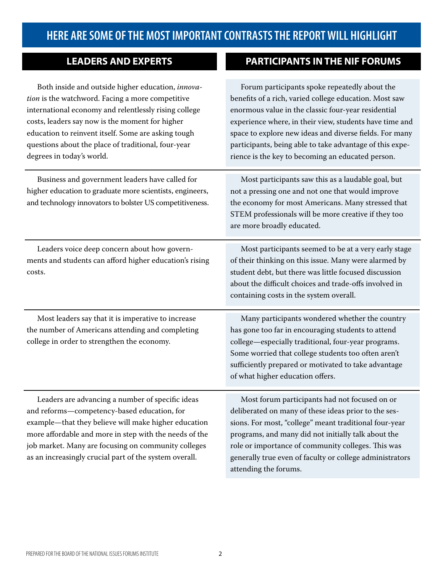## **HERE ARE SOME OF THE MOST IMPORTANT CONTRASTS THE REPORT WILL HIGHLIGHT**

**PARTICIPANTS IN THE NIF FORUMS** 

| <b>LEADERS AND EXPERTS</b> |
|----------------------------|
|----------------------------|

| Both inside and outside higher education, innova-<br>tion is the watchword. Facing a more competitive<br>international economy and relentlessly rising college<br>costs, leaders say now is the moment for higher<br>education to reinvent itself. Some are asking tough<br>questions about the place of traditional, four-year<br>degrees in today's world. | Forum participants spoke repeatedly about the<br>benefits of a rich, varied college education. Most saw<br>enormous value in the classic four-year residential<br>experience where, in their view, students have time and<br>space to explore new ideas and diverse fields. For many<br>participants, being able to take advantage of this expe-<br>rience is the key to becoming an educated person. |
|--------------------------------------------------------------------------------------------------------------------------------------------------------------------------------------------------------------------------------------------------------------------------------------------------------------------------------------------------------------|-------------------------------------------------------------------------------------------------------------------------------------------------------------------------------------------------------------------------------------------------------------------------------------------------------------------------------------------------------------------------------------------------------|
| Business and government leaders have called for<br>higher education to graduate more scientists, engineers,<br>and technology innovators to bolster US competitiveness.                                                                                                                                                                                      | Most participants saw this as a laudable goal, but<br>not a pressing one and not one that would improve<br>the economy for most Americans. Many stressed that<br>STEM professionals will be more creative if they too<br>are more broadly educated.                                                                                                                                                   |
| Leaders voice deep concern about how govern-<br>ments and students can afford higher education's rising<br>costs.                                                                                                                                                                                                                                            | Most participants seemed to be at a very early stage<br>of their thinking on this issue. Many were alarmed by<br>student debt, but there was little focused discussion<br>about the difficult choices and trade-offs involved in<br>containing costs in the system overall.                                                                                                                           |
| Most leaders say that it is imperative to increase<br>the number of Americans attending and completing<br>college in order to strengthen the economy.                                                                                                                                                                                                        | Many participants wondered whether the country<br>has gone too far in encouraging students to attend<br>college-especially traditional, four-year programs.<br>Some worried that college students too often aren't<br>sufficiently prepared or motivated to take advantage<br>of what higher education offers.                                                                                        |
| Leaders are advancing a number of specific ideas<br>and reforms-competency-based education, for<br>example-that they believe will make higher education<br>more affordable and more in step with the needs of the<br>job market. Many are focusing on community colleges<br>as an increasingly crucial part of the system overall.                           | Most forum participants had not focused on or<br>deliberated on many of these ideas prior to the ses-<br>sions. For most, "college" meant traditional four-year<br>programs, and many did not initially talk about the<br>role or importance of community colleges. This was<br>generally true even of faculty or college administrators<br>attending the forums.                                     |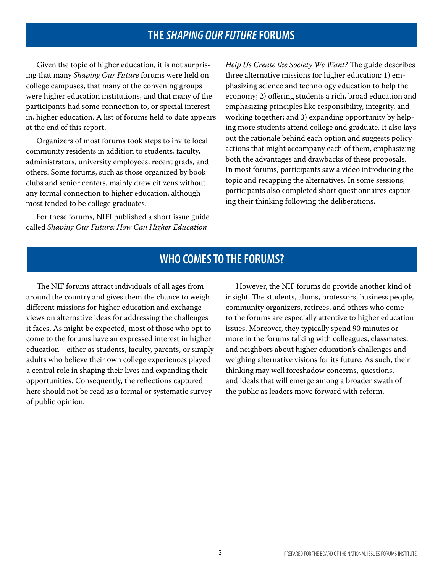### **THE** *SHAPING OUR FUTURE* **FORUMS**

Given the topic of higher education, it is not surprising that many *Shaping Our Future* forums were held on college campuses, that many of the convening groups were higher education institutions, and that many of the participants had some connection to, or special interest in, higher education. A list of forums held to date appears at the end of this report.

Organizers of most forums took steps to invite local community residents in addition to students, faculty, administrators, university employees, recent grads, and others. Some forums, such as those organized by book clubs and senior centers, mainly drew citizens without any formal connection to higher education, although most tended to be college graduates.

For these forums, NIFI published a short issue guide called *Shaping Our Future: How Can Higher Education* 

*Help Us Create the Society We Want?* The guide describes three alternative missions for higher education: 1) emphasizing science and technology education to help the economy; 2) offering students a rich, broad education and emphasizing principles like responsibility, integrity, and working together; and 3) expanding opportunity by helping more students attend college and graduate. It also lays out the rationale behind each option and suggests policy actions that might accompany each of them, emphasizing both the advantages and drawbacks of these proposals. In most forums, participants saw a video introducing the topic and recapping the alternatives. In some sessions, participants also completed short questionnaires capturing their thinking following the deliberations.

#### **WHO COMES TO THE FORUMS?**

The NIF forums attract individuals of all ages from around the country and gives them the chance to weigh different missions for higher education and exchange views on alternative ideas for addressing the challenges it faces. As might be expected, most of those who opt to come to the forums have an expressed interest in higher education—either as students, faculty, parents, or simply adults who believe their own college experiences played a central role in shaping their lives and expanding their opportunities. Consequently, the reflections captured here should not be read as a formal or systematic survey of public opinion.

However, the NIF forums do provide another kind of insight. The students, alums, professors, business people, community organizers, retirees, and others who come to the forums are especially attentive to higher education issues. Moreover, they typically spend 90 minutes or more in the forums talking with colleagues, classmates, and neighbors about higher education's challenges and weighing alternative visions for its future. As such, their thinking may well foreshadow concerns, questions, and ideals that will emerge among a broader swath of the public as leaders move forward with reform.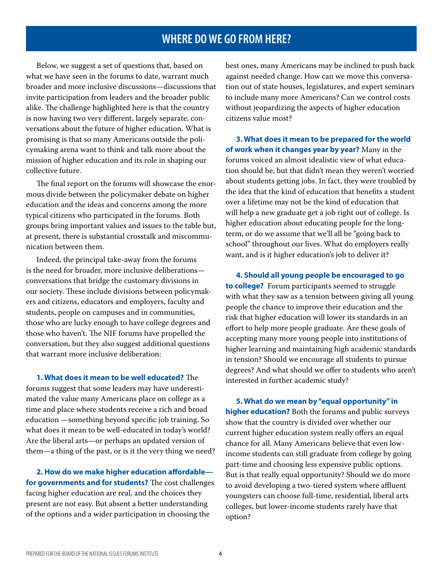#### **WHERE DO WE GO FROM HERE?**

Below, we suggest a set of questions that, based on what we have seen in the forums to date, warrant much broader and more inclusive discussions—discussions that invite participation from leaders and the broader public alike. The challenge highlighted here is that the country is now having two very different, largely separate, conversations about the future of higher education. What is promising is that so many Americans outside the policymaking arena want to think and talk more about the mission of higher education and its role in shaping our collective future.

The final report on the forums will showcase the enormous divide between the policymaker debate on higher education and the ideas and concerns among the more typical citizens who participated in the forums. Both groups bring important values and issues to the table but, at present, there is substantial crosstalk and miscommunication between them.

Indeed, the principal take-away from the forums is the need for broader, more inclusive deliberations conversations that bridge the customary divisions in our society. These include divisions between policymakers and citizens, educators and employers, faculty and students, people on campuses and in communities, those who are lucky enough to have college degrees and those who haven't. The NIF forums have propelled the conversation, but they also suggest additional questions that warrant more inclusive deliberation:

**1. What does it mean to be well educated?** The forums suggest that some leaders may have underestimated the value many Americans place on college as a time and place where students receive a rich and broad education —something beyond specific job training. So what does it mean to be well-educated in today's world? Are the liberal arts—or perhaps an updated version of them—a thing of the past, or is it the very thing we need?

**2. How do we make higher education affordable for governments and for students?** The cost challenges facing higher education are real, and the choices they present are not easy. But absent a better understanding of the options and a wider participation in choosing the

best ones, many Americans may be inclined to push back against needed change. How can we move this conversation out of state houses, legislatures, and expert seminars to include many more Americans? Can we control costs without jeopardizing the aspects of higher education citizens value most?

**3. What does it mean to be prepared for the world of work when it changes year by year?** Many in the forums voiced an almost idealistic view of what education should be, but that didn't mean they weren't worried about students getting jobs. In fact, they were troubled by the idea that the kind of education that benefits a student over a lifetime may not be the kind of education that will help a new graduate get a job right out of college. Is higher education about educating people for the longterm, or do we assume that we'll all be "going back to school" throughout our lives. What do employers really want, and is it higher education's job to deliver it?

**4. Should all young people be encouraged to go to college?** Forum participants seemed to struggle with what they saw as a tension between giving all young people the chance to improve their education and the risk that higher education will lower its standards in an effort to help more people graduate. Are these goals of accepting many more young people into institutions of higher learning and maintaining high academic standards in tension? Should we encourage all students to pursue degrees? And what should we offer to students who aren't interested in further academic study?

**5. What do we mean by "equal opportunity" in higher education?** Both the forums and public surveys show that the country is divided over whether our current higher education system really offers an equal chance for all. Many Americans believe that even lowincome students can still graduate from college by going part-time and choosing less expensive public options. But is that really equal opportunity? Should we do more to avoid developing a two-tiered system where affluent youngsters can choose full-time, residential, liberal arts colleges, but lower-income students rarely have that option?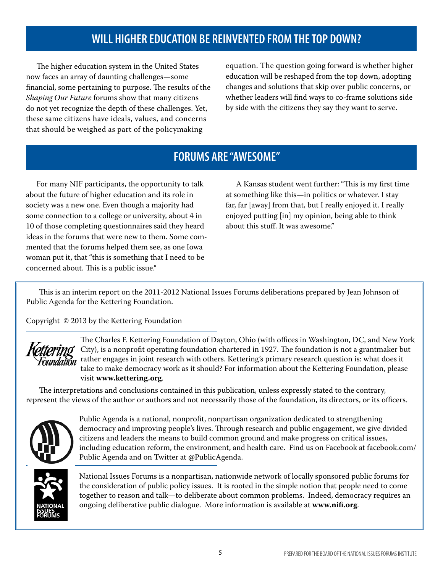## **WILL HIGHER EDUCATION BE REINVENTED FROM THE TOP DOWN?**

The higher education system in the United States now faces an array of daunting challenges—some financial, some pertaining to purpose. The results of the *Shaping Our Future* forums show that many citizens do not yet recognize the depth of these challenges. Yet, these same citizens have ideals, values, and concerns that should be weighed as part of the policymaking

equation. The question going forward is whether higher education will be reshaped from the top down, adopting changes and solutions that skip over public concerns, or whether leaders will find ways to co-frame solutions side by side with the citizens they say they want to serve.

## **FORUMS ARE "AWESOME"**

For many NIF participants, the opportunity to talk about the future of higher education and its role in society was a new one. Even though a majority had some connection to a college or university, about 4 in 10 of those completing questionnaires said they heard ideas in the forums that were new to them. Some commented that the forums helped them see, as one Iowa woman put it, that "this is something that I need to be concerned about. This is a public issue."

A Kansas student went further: "This is my first time at something like this—in politics or whatever. I stay far, far [away] from that, but I really enjoyed it. I really enjoyed putting [in] my opinion, being able to think about this stuff. It was awesome."

This is an interim report on the 2011-2012 National Issues Forums deliberations prepared by Jean Johnson of Public Agenda for the Kettering Foundation.

Copyright © 2013 by the Kettering Foundation



The Charles F. Kettering Foundation of Dayton, Ohio (with offices in Washington, DC, and New York City), is a nonprofit operating foundation chartered in 1927. The foundation is not a grantmaker but rather engages in joint research with others. Kettering's primary research question is: what does it take to make democracy work as it should? For information about the Kettering Foundation, please visit **www.kettering.org**.

The interpretations and conclusions contained in this publication, unless expressly stated to the contrary, represent the views of the author or authors and not necessarily those of the foundation, its directors, or its officers.



Public Agenda is a national, nonprofit, nonpartisan organization dedicated to strengthening democracy and improving people's lives. Through research and public engagement, we give divided citizens and leaders the means to build common ground and make progress on critical issues, including education reform, the environment, and health care. Find us on Facebook at facebook.com/ Public Agenda and on Twitter at @PublicAgenda.



National Issues Forums is a nonpartisan, nationwide network of locally sponsored public forums for the consideration of public policy issues. It is rooted in the simple notion that people need to come together to reason and talk—to deliberate about common problems. Indeed, democracy requires an ongoing deliberative public dialogue. More information is available at **www.nifi.org**.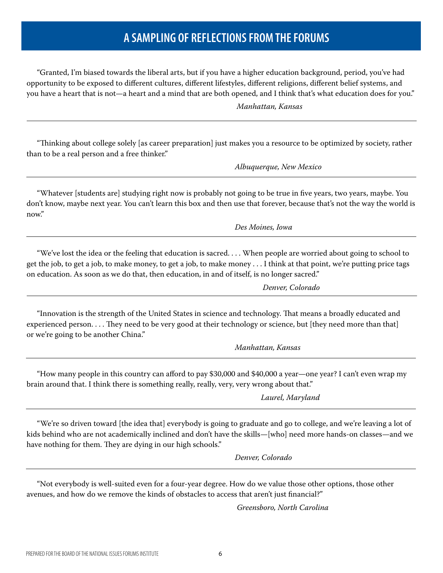## **A SAMPLING OF REFLECTIONS FROM THE FORUMS**

"Granted, I'm biased towards the liberal arts, but if you have a higher education background, period, you've had opportunity to be exposed to different cultures, different lifestyles, different religions, different belief systems, and you have a heart that is not—a heart and a mind that are both opened, and I think that's what education does for you."

*Manhattan, Kansas* 

"Thinking about college solely [as career preparation] just makes you a resource to be optimized by society, rather than to be a real person and a free thinker."

*Albuquerque, New Mexico*

"Whatever [students are] studying right now is probably not going to be true in five years, two years, maybe. You don't know, maybe next year. You can't learn this box and then use that forever, because that's not the way the world is now."

*Des Moines, Iowa*

"We've lost the idea or the feeling that education is sacred. . . . When people are worried about going to school to get the job, to get a job, to make money, to get a job, to make money . . . I think at that point, we're putting price tags on education. As soon as we do that, then education, in and of itself, is no longer sacred."

*Denver, Colorado*

"Innovation is the strength of the United States in science and technology. That means a broadly educated and experienced person. . . . They need to be very good at their technology or science, but [they need more than that] or we're going to be another China."

*Manhattan, Kansas*

"How many people in this country can afford to pay \$30,000 and \$40,000 a year—one year? I can't even wrap my brain around that. I think there is something really, really, very, very wrong about that."

*Laurel, Maryland* 

"We're so driven toward [the idea that] everybody is going to graduate and go to college, and we're leaving a lot of kids behind who are not academically inclined and don't have the skills—[who] need more hands-on classes—and we have nothing for them. They are dying in our high schools."

*Denver, Colorado* 

"Not everybody is well-suited even for a four-year degree. How do we value those other options, those other avenues, and how do we remove the kinds of obstacles to access that aren't just financial?"

*Greensboro, North Carolina*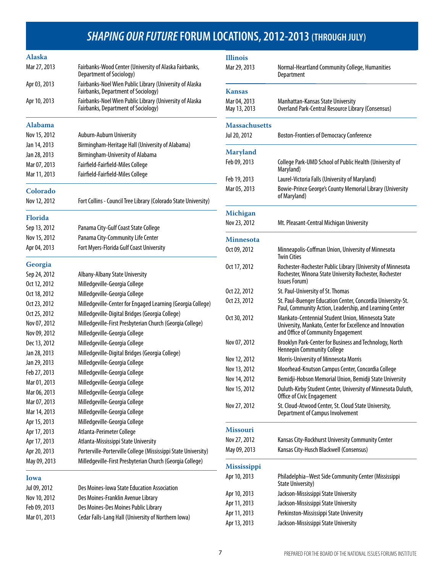## *SHAPING OUR FUTURE* **FORUM LOCATIONS, 2012-2013 (THROUGH JULY)**

| <b>Alaska</b>  |                                                                                                        |
|----------------|--------------------------------------------------------------------------------------------------------|
| Mar 27, 2013   | Fairbanks-Wood Center (University of Alaska Fairbanks,<br>Department of Sociology)                     |
| Apr 03, 2013   | Fairbanks-Noel Wien Public Library (University of Alaska<br><b>Fairbanks, Department of Sociology)</b> |
| Apr 10, 2013   | Fairbanks-Noel Wien Public Library (University of Alaska<br><b>Fairbanks, Department of Sociology)</b> |
| Alabama        |                                                                                                        |
| Nov 15, 2012   | Auburn-Auburn University                                                                               |
| Jan 14, 2013   | Birmingham-Heritage Hall (University of Alabama)                                                       |
| Jan 28, 2013   | Birmingham-University of Alabama                                                                       |
| Mar 07, 2013   | Fairfield-Fairfield-Miles College                                                                      |
| Mar 11, 2013   | Fairfield-Fairfield-Miles College                                                                      |
| Colorado       |                                                                                                        |
| Nov 12, 2012   | Fort Collins - Council Tree Library (Colorado State University)                                        |
| <b>Florida</b> |                                                                                                        |
| Sep 13, 2012   | Panama City-Gulf Coast State College                                                                   |
| Nov 15, 2012   | Panama City-Community Life Center                                                                      |
| Apr 04, 2013   | Fort Myers-Florida Gulf Coast University                                                               |
| Georgia        |                                                                                                        |
| Sep 24, 2012   | Albany-Albany State University                                                                         |
| Oct 12, 2012   | Milledgeville-Georgia College                                                                          |
| Oct 18, 2012   | Milledgeville-Georgia College                                                                          |
| Oct 23, 2012   | Milledgeville-Center for Engaged Learning (Georgia College)                                            |
| Oct 25, 2012   | Milledgeville-Digital Bridges (Georgia College)                                                        |
| Nov 07, 2012   | Milledgeville-First Presbyterian Church (Georgia College)                                              |
| Nov 09, 2012   | Milledgeville-Georgia College                                                                          |
| Dec 13, 2012   | Milledgeville-Georgia College                                                                          |
| Jan 28, 2013   | Milledgeville-Digital Bridges (Georgia College)                                                        |
| Jan 29, 2013   | Milledgeville-Georgia College                                                                          |
| Feb 27, 2013   | Milledgeville-Georgia College                                                                          |
| Mar 01, 2013   | Milledgeville-Georgia College                                                                          |
| Mar 06, 2013   | Milledgeville-Georgia College                                                                          |
| Mar 07, 2013   | Milledgeville-Georgia College                                                                          |
| Mar 14, 2013   | Milledgeville-Georgia College                                                                          |
| Apr 15, 2013   | Milledgeville-Georgia College                                                                          |
| Apr 17, 2013   | Atlanta-Perimeter College                                                                              |
| Apr 17, 2013   | Atlanta-Mississippi State University                                                                   |
| Apr 20, 2013   | Porterville-Porterville College (Mississippi State University)                                         |
| May 09, 2013   | Milledgeville-First Presbyterian Church (Georgia College)                                              |
| Iowa           |                                                                                                        |

| Jul 09, 2012 | Des Moines-Iowa State Education Association         |
|--------------|-----------------------------------------------------|
| Nov 10, 2012 | Des Moines-Franklin Avenue Library                  |
| Feb 09, 2013 | Des Moines-Des Moines Public Library                |
| Mar 01, 2013 | Cedar Falls-Lang Hall (University of Northern Iowa) |

| <b>Illinois</b>              |                                                                                                                                                      |  |  |
|------------------------------|------------------------------------------------------------------------------------------------------------------------------------------------------|--|--|
| Mar 29, 2013                 | Normal-Heartland Community College, Humanities<br>Department                                                                                         |  |  |
| <b>Kansas</b>                |                                                                                                                                                      |  |  |
| Mar 04, 2013<br>May 13, 2013 | Manhattan-Kansas State University<br>Overland Park-Central Resource Library (Consensus)                                                              |  |  |
| <b>Massachusetts</b>         |                                                                                                                                                      |  |  |
| Jul 20, 2012                 | <b>Boston-Frontiers of Democracy Conference</b>                                                                                                      |  |  |
| <b>Maryland</b>              |                                                                                                                                                      |  |  |
| Feb 09, 2013                 | College Park-UMD School of Public Health (University of<br>Maryland)                                                                                 |  |  |
| Feb 19, 2013                 | Laurel-Victoria Falls (University of Maryland)                                                                                                       |  |  |
| Mar 05, 2013                 | Bowie-Prince George's County Memorial Library (University<br>of Maryland)                                                                            |  |  |
| Michigan                     |                                                                                                                                                      |  |  |
| Nov 23, 2012                 | Mt. Pleasant-Central Michigan University                                                                                                             |  |  |
| <b>Minnesota</b>             |                                                                                                                                                      |  |  |
| Oct 09, 2012                 | Minneapolis-Coffman Union, University of Minnesota<br><b>Twin Cities</b>                                                                             |  |  |
| Oct 17, 2012                 | Rochester-Rochester Public Library (University of Minnesota<br>Rochester, Winona State University Rochester, Rochester<br>Issues Forum)              |  |  |
| Oct 22, 2012                 | St. Paul-University of St. Thomas                                                                                                                    |  |  |
| Oct 23, 2012                 | St. Paul-Buenger Education Center, Concordia University-St.<br>Paul, Community Action, Leadership, and Learning Center                               |  |  |
| Oct 30, 2012                 | Mankato-Centennial Student Union, Minnesota State<br>University, Mankato, Center for Excellence and Innovation<br>and Office of Community Engagement |  |  |
| Nov 07, 2012                 | Brooklyn Park-Center for Business and Technology, North<br><b>Hennepin Community College</b>                                                         |  |  |
| Nov 12, 2012                 | Morris-University of Minnesota Morris                                                                                                                |  |  |
| Nov 13, 2012                 | Moorhead-Knutson Campus Center, Concordia College                                                                                                    |  |  |
| Nov 14, 2012                 | Bemidji-Hobson Memorial Union, Bemidji State University                                                                                              |  |  |
| Nov 15, 2012                 | Duluth-Kirby Student Center, University of Minnesota Duluth,<br>Office of Civic Engagement                                                           |  |  |
| Nov 27, 2012                 | St. Cloud-Atwood Center, St. Cloud State University,<br>Department of Campus Involvement                                                             |  |  |
| <b>Missouri</b>              |                                                                                                                                                      |  |  |
| Nov 27, 2012                 | Kansas City-Rockhurst University Community Center                                                                                                    |  |  |
| May 09, 2013                 | Kansas City-Husch Blackwell (Consensus)                                                                                                              |  |  |
| <b>Mississippi</b>           |                                                                                                                                                      |  |  |
| Apr 10, 2013                 | Philadelphia-West Side Community Center (Mississippi<br><b>State University)</b>                                                                     |  |  |
| Apr 10, 2013                 | Jackson-Mississippi State University                                                                                                                 |  |  |
| Apr 11, 2013                 | Jackson-Mississippi State University                                                                                                                 |  |  |
| Apr 11, 2013                 | Perkinston-Mississippi State University                                                                                                              |  |  |
| Apr 13, 2013                 | Jackson-Mississippi State University                                                                                                                 |  |  |